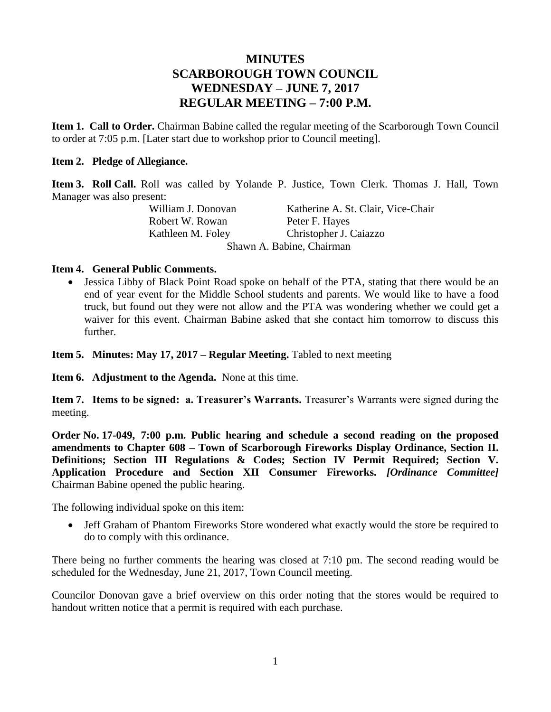# **MINUTES SCARBOROUGH TOWN COUNCIL WEDNESDAY – JUNE 7, 2017 REGULAR MEETING – 7:00 P.M.**

**Item 1. Call to Order.** Chairman Babine called the regular meeting of the Scarborough Town Council to order at 7:05 p.m. [Later start due to workshop prior to Council meeting].

#### **Item 2. Pledge of Allegiance.**

**Item 3. Roll Call.** Roll was called by Yolande P. Justice, Town Clerk. Thomas J. Hall, Town Manager was also present:

> William J. Donovan Katherine A. St. Clair, Vice-Chair Robert W. Rowan Peter F. Hayes Kathleen M. Foley Christopher J. Caiazzo Shawn A. Babine, Chairman

#### **Item 4. General Public Comments.**

 Jessica Libby of Black Point Road spoke on behalf of the PTA, stating that there would be an end of year event for the Middle School students and parents. We would like to have a food truck, but found out they were not allow and the PTA was wondering whether we could get a waiver for this event. Chairman Babine asked that she contact him tomorrow to discuss this further.

**Item 5. Minutes: May 17, 2017 – Regular Meeting.** Tabled to next meeting

**Item 6. Adjustment to the Agenda.** None at this time.

**Item 7. Items to be signed: a. Treasurer's Warrants.** Treasurer's Warrants were signed during the meeting.

**Order No. 17-049, 7:00 p.m. Public hearing and schedule a second reading on the proposed amendments to Chapter 608 – Town of Scarborough Fireworks Display Ordinance, Section II. Definitions; Section III Regulations & Codes; Section IV Permit Required; Section V. Application Procedure and Section XII Consumer Fireworks.** *[Ordinance Committee]* Chairman Babine opened the public hearing.

The following individual spoke on this item:

• Jeff Graham of Phantom Fireworks Store wondered what exactly would the store be required to do to comply with this ordinance.

There being no further comments the hearing was closed at 7:10 pm. The second reading would be scheduled for the Wednesday, June 21, 2017, Town Council meeting.

Councilor Donovan gave a brief overview on this order noting that the stores would be required to handout written notice that a permit is required with each purchase.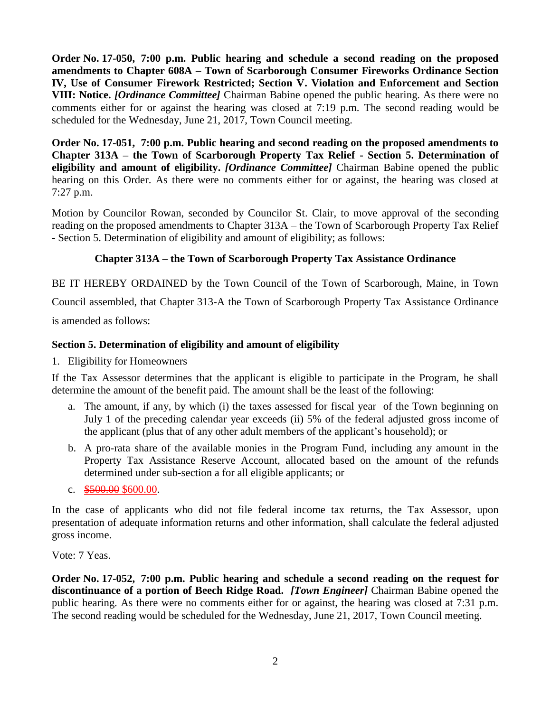**Order No. 17-050, 7:00 p.m. Public hearing and schedule a second reading on the proposed amendments to Chapter 608A – Town of Scarborough Consumer Fireworks Ordinance Section IV, Use of Consumer Firework Restricted; Section V. Violation and Enforcement and Section VIII: Notice.** *[Ordinance Committee]* Chairman Babine opened the public hearing. As there were no comments either for or against the hearing was closed at 7:19 p.m. The second reading would be scheduled for the Wednesday, June 21, 2017, Town Council meeting.

**Order No. 17-051, 7:00 p.m. Public hearing and second reading on the proposed amendments to Chapter 313A – the Town of Scarborough Property Tax Relief - Section 5. Determination of eligibility and amount of eligibility.** *[Ordinance Committee]* Chairman Babine opened the public hearing on this Order. As there were no comments either for or against, the hearing was closed at 7:27 p.m.

Motion by Councilor Rowan, seconded by Councilor St. Clair, to move approval of the seconding reading on the proposed amendments to Chapter 313A – the Town of Scarborough Property Tax Relief - Section 5. Determination of eligibility and amount of eligibility; as follows:

# **Chapter 313A – the Town of Scarborough Property Tax Assistance Ordinance**

BE IT HEREBY ORDAINED by the Town Council of the Town of Scarborough, Maine, in Town

Council assembled, that Chapter 313-A the Town of Scarborough Property Tax Assistance Ordinance

is amended as follows:

## **Section 5. Determination of eligibility and amount of eligibility**

1. Eligibility for Homeowners

If the Tax Assessor determines that the applicant is eligible to participate in the Program, he shall determine the amount of the benefit paid. The amount shall be the least of the following:

- a. The amount, if any, by which (i) the taxes assessed for fiscal year of the Town beginning on July 1 of the preceding calendar year exceeds (ii) 5% of the federal adjusted gross income of the applicant (plus that of any other adult members of the applicant's household); or
- b. A pro-rata share of the available monies in the Program Fund, including any amount in the Property Tax Assistance Reserve Account, allocated based on the amount of the refunds determined under sub-section a for all eligible applicants; or
- c. \$500.00 \$600.00.

In the case of applicants who did not file federal income tax returns, the Tax Assessor, upon presentation of adequate information returns and other information, shall calculate the federal adjusted gross income.

Vote: 7 Yeas.

**Order No. 17-052, 7:00 p.m. Public hearing and schedule a second reading on the request for discontinuance of a portion of Beech Ridge Road.** *[Town Engineer]* Chairman Babine opened the public hearing. As there were no comments either for or against, the hearing was closed at 7:31 p.m. The second reading would be scheduled for the Wednesday, June 21, 2017, Town Council meeting.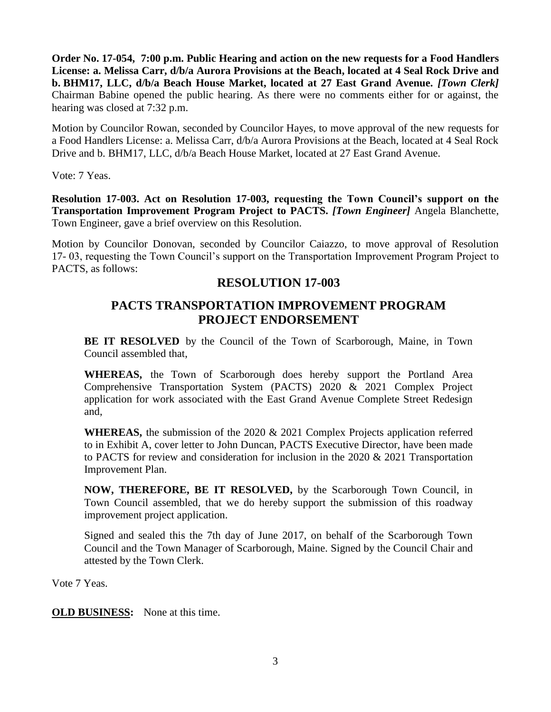**Order No. 17-054, 7:00 p.m. Public Hearing and action on the new requests for a Food Handlers License: a. Melissa Carr, d/b/a Aurora Provisions at the Beach, located at 4 Seal Rock Drive and b. BHM17, LLC, d/b/a Beach House Market, located at 27 East Grand Avenue.** *[Town Clerk]* Chairman Babine opened the public hearing. As there were no comments either for or against, the hearing was closed at 7:32 p.m.

Motion by Councilor Rowan, seconded by Councilor Hayes, to move approval of the new requests for a Food Handlers License: a. Melissa Carr, d/b/a Aurora Provisions at the Beach, located at 4 Seal Rock Drive and b. BHM17, LLC, d/b/a Beach House Market, located at 27 East Grand Avenue.

Vote: 7 Yeas.

**Resolution 17-003. Act on Resolution 17-003, requesting the Town Council's support on the Transportation Improvement Program Project to PACTS.** *[Town Engineer]* Angela Blanchette, Town Engineer, gave a brief overview on this Resolution.

Motion by Councilor Donovan, seconded by Councilor Caiazzo, to move approval of Resolution 17- 03, requesting the Town Council's support on the Transportation Improvement Program Project to PACTS, as follows:

# **RESOLUTION 17-003**

# **PACTS TRANSPORTATION IMPROVEMENT PROGRAM PROJECT ENDORSEMENT**

**BE IT RESOLVED** by the Council of the Town of Scarborough, Maine, in Town Council assembled that,

**WHEREAS,** the Town of Scarborough does hereby support the Portland Area Comprehensive Transportation System (PACTS) 2020 & 2021 Complex Project application for work associated with the East Grand Avenue Complete Street Redesign and,

**WHEREAS,** the submission of the 2020 & 2021 Complex Projects application referred to in Exhibit A, cover letter to John Duncan, PACTS Executive Director, have been made to PACTS for review and consideration for inclusion in the 2020 & 2021 Transportation Improvement Plan.

**NOW, THEREFORE, BE IT RESOLVED,** by the Scarborough Town Council, in Town Council assembled, that we do hereby support the submission of this roadway improvement project application.

Signed and sealed this the 7th day of June 2017, on behalf of the Scarborough Town Council and the Town Manager of Scarborough, Maine. Signed by the Council Chair and attested by the Town Clerk.

Vote 7 Yeas.

**OLD BUSINESS:** None at this time.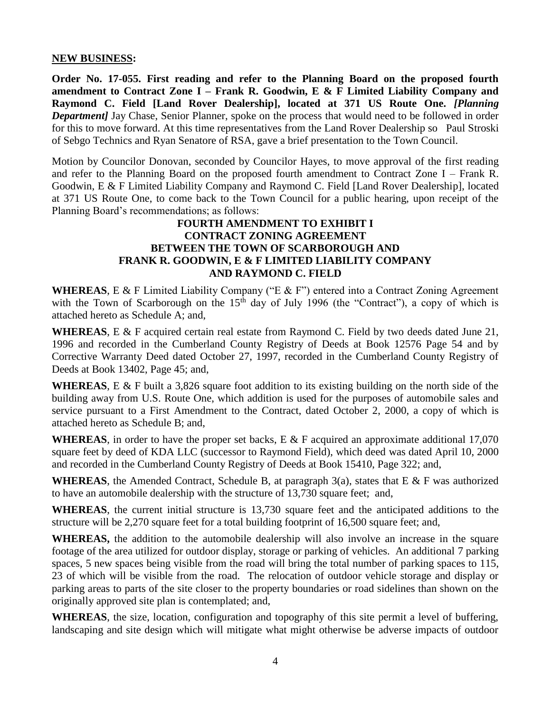#### **NEW BUSINESS:**

**Order No. 17-055. First reading and refer to the Planning Board on the proposed fourth amendment to Contract Zone I – Frank R. Goodwin, E & F Limited Liability Company and Raymond C. Field [Land Rover Dealership], located at 371 US Route One.** *[Planning Department]* Jay Chase, Senior Planner, spoke on the process that would need to be followed in order for this to move forward. At this time representatives from the Land Rover Dealership so Paul Stroski of Sebgo Technics and Ryan Senatore of RSA, gave a brief presentation to the Town Council.

Motion by Councilor Donovan, seconded by Councilor Hayes, to move approval of the first reading and refer to the Planning Board on the proposed fourth amendment to Contract Zone I – Frank R. Goodwin, E & F Limited Liability Company and Raymond C. Field [Land Rover Dealership], located at 371 US Route One, to come back to the Town Council for a public hearing, upon receipt of the Planning Board's recommendations; as follows:

### **FOURTH AMENDMENT TO EXHIBIT I CONTRACT ZONING AGREEMENT BETWEEN THE TOWN OF SCARBOROUGH AND FRANK R. GOODWIN, E & F LIMITED LIABILITY COMPANY AND RAYMOND C. FIELD**

**WHEREAS**, E & F Limited Liability Company ("E & F") entered into a Contract Zoning Agreement with the Town of Scarborough on the  $15<sup>th</sup>$  day of July 1996 (the "Contract"), a copy of which is attached hereto as Schedule A; and,

**WHEREAS**, E & F acquired certain real estate from Raymond C. Field by two deeds dated June 21, 1996 and recorded in the Cumberland County Registry of Deeds at Book 12576 Page 54 and by Corrective Warranty Deed dated October 27, 1997, recorded in the Cumberland County Registry of Deeds at Book 13402, Page 45; and,

**WHEREAS**, E & F built a 3,826 square foot addition to its existing building on the north side of the building away from U.S. Route One, which addition is used for the purposes of automobile sales and service pursuant to a First Amendment to the Contract, dated October 2, 2000, a copy of which is attached hereto as Schedule B; and,

**WHEREAS**, in order to have the proper set backs, E & F acquired an approximate additional 17,070 square feet by deed of KDA LLC (successor to Raymond Field), which deed was dated April 10, 2000 and recorded in the Cumberland County Registry of Deeds at Book 15410, Page 322; and,

**WHEREAS**, the Amended Contract, Schedule B, at paragraph  $3(a)$ , states that E & F was authorized to have an automobile dealership with the structure of 13,730 square feet; and,

**WHEREAS**, the current initial structure is 13,730 square feet and the anticipated additions to the structure will be 2,270 square feet for a total building footprint of 16,500 square feet; and,

**WHEREAS,** the addition to the automobile dealership will also involve an increase in the square footage of the area utilized for outdoor display, storage or parking of vehicles. An additional 7 parking spaces, 5 new spaces being visible from the road will bring the total number of parking spaces to 115, 23 of which will be visible from the road. The relocation of outdoor vehicle storage and display or parking areas to parts of the site closer to the property boundaries or road sidelines than shown on the originally approved site plan is contemplated; and,

**WHEREAS**, the size, location, configuration and topography of this site permit a level of buffering, landscaping and site design which will mitigate what might otherwise be adverse impacts of outdoor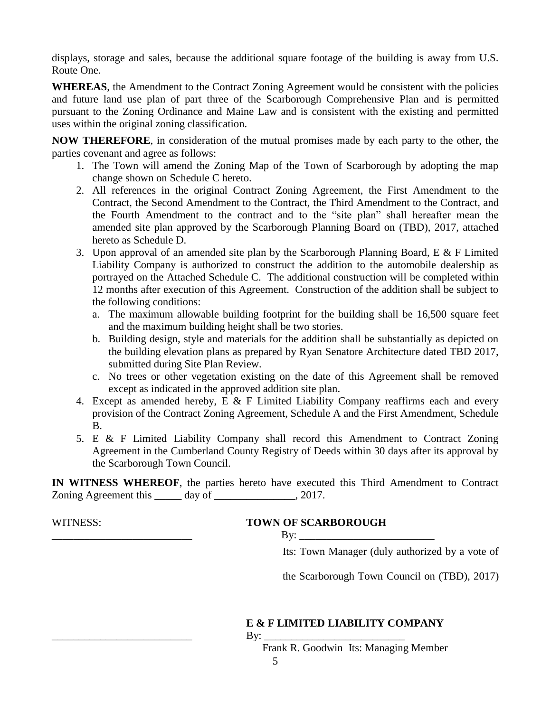displays, storage and sales, because the additional square footage of the building is away from U.S. Route One.

**WHEREAS**, the Amendment to the Contract Zoning Agreement would be consistent with the policies and future land use plan of part three of the Scarborough Comprehensive Plan and is permitted pursuant to the Zoning Ordinance and Maine Law and is consistent with the existing and permitted uses within the original zoning classification.

**NOW THEREFORE**, in consideration of the mutual promises made by each party to the other, the parties covenant and agree as follows:

- 1. The Town will amend the Zoning Map of the Town of Scarborough by adopting the map change shown on Schedule C hereto.
- 2. All references in the original Contract Zoning Agreement, the First Amendment to the Contract, the Second Amendment to the Contract, the Third Amendment to the Contract, and the Fourth Amendment to the contract and to the "site plan" shall hereafter mean the amended site plan approved by the Scarborough Planning Board on (TBD), 2017, attached hereto as Schedule D.
- 3. Upon approval of an amended site plan by the Scarborough Planning Board, E & F Limited Liability Company is authorized to construct the addition to the automobile dealership as portrayed on the Attached Schedule C. The additional construction will be completed within 12 months after execution of this Agreement. Construction of the addition shall be subject to the following conditions:
	- a. The maximum allowable building footprint for the building shall be 16,500 square feet and the maximum building height shall be two stories.
	- b. Building design, style and materials for the addition shall be substantially as depicted on the building elevation plans as prepared by Ryan Senatore Architecture dated TBD 2017, submitted during Site Plan Review.
	- c. No trees or other vegetation existing on the date of this Agreement shall be removed except as indicated in the approved addition site plan.
- 4. Except as amended hereby, E & F Limited Liability Company reaffirms each and every provision of the Contract Zoning Agreement, Schedule A and the First Amendment, Schedule B.
- 5. E & F Limited Liability Company shall record this Amendment to Contract Zoning Agreement in the Cumberland County Registry of Deeds within 30 days after its approval by the Scarborough Town Council.

**IN WITNESS WHEREOF**, the parties hereto have executed this Third Amendment to Contract Zoning Agreement this day of the 2017.

# WITNESS: **TOWN OF SCARBOROUGH**

 $\mathbf{By:}$ 

Its: Town Manager (duly authorized by a vote of

the Scarborough Town Council on (TBD), 2017)

# **E & F LIMITED LIABILITY COMPANY**

\_\_\_\_\_\_\_\_\_\_\_\_\_\_\_\_\_\_\_\_\_\_\_\_\_\_ By: \_\_\_\_\_\_\_\_\_\_\_\_\_\_\_\_\_\_\_\_\_\_\_\_\_\_

Frank R. Goodwin Its: Managing Member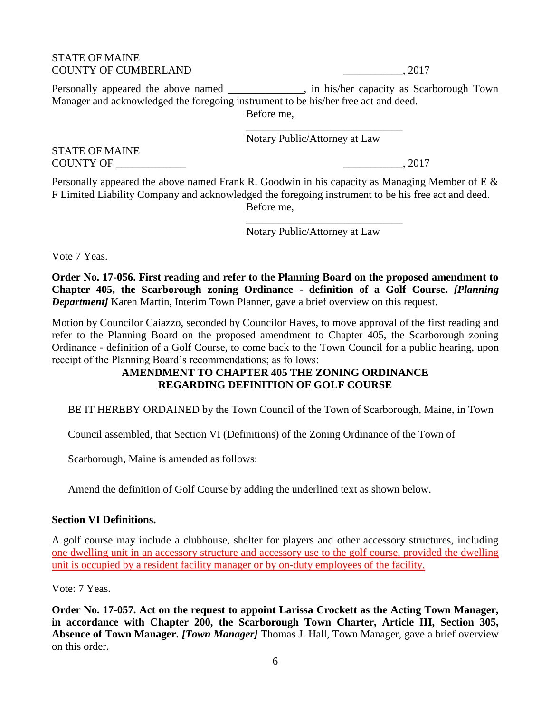#### STATE OF MAINE COUNTY OF CUMBERLAND \_\_\_\_\_\_\_\_\_\_\_, 2017

6

Personally appeared the above named \_\_\_\_\_\_\_\_\_\_\_, in his/her capacity as Scarborough Town Manager and acknowledged the foregoing instrument to be his/her free act and deed. Before me,

\_\_\_\_\_\_\_\_\_\_\_\_\_\_\_\_\_\_\_\_\_\_\_\_\_\_\_\_\_

Notary Public/Attorney at Law

STATE OF MAINE COUNTY OF \_\_\_\_\_\_\_\_\_\_\_\_\_ \_\_\_\_\_\_\_\_\_\_\_, 2017

Personally appeared the above named Frank R. Goodwin in his capacity as Managing Member of E & F Limited Liability Company and acknowledged the foregoing instrument to be his free act and deed. Before me,

Notary Public/Attorney at Law

\_\_\_\_\_\_\_\_\_\_\_\_\_\_\_\_\_\_\_\_\_\_\_\_\_\_\_\_\_

Vote 7 Yeas.

**Order No. 17-056. First reading and refer to the Planning Board on the proposed amendment to Chapter 405, the Scarborough zoning Ordinance - definition of a Golf Course.** *[Planning Department* Karen Martin, Interim Town Planner, gave a brief overview on this request.

Motion by Councilor Caiazzo, seconded by Councilor Hayes, to move approval of the first reading and refer to the Planning Board on the proposed amendment to Chapter 405, the Scarborough zoning Ordinance - definition of a Golf Course, to come back to the Town Council for a public hearing, upon receipt of the Planning Board's recommendations; as follows:

## **AMENDMENT TO CHAPTER 405 THE ZONING ORDINANCE REGARDING DEFINITION OF GOLF COURSE**

BE IT HEREBY ORDAINED by the Town Council of the Town of Scarborough, Maine, in Town

Council assembled, that Section VI (Definitions) of the Zoning Ordinance of the Town of

Scarborough, Maine is amended as follows:

Amend the definition of Golf Course by adding the underlined text as shown below.

## **Section VI Definitions.**

A golf course may include a clubhouse, shelter for players and other accessory structures, including one dwelling unit in an accessory structure and accessory use to the golf course, provided the dwelling unit is occupied by a resident facility manager or by on-duty employees of the facility.

Vote: 7 Yeas.

**Order No. 17-057. Act on the request to appoint Larissa Crockett as the Acting Town Manager, in accordance with Chapter 200, the Scarborough Town Charter, Article III, Section 305, Absence of Town Manager.** *[Town Manager]* Thomas J. Hall, Town Manager, gave a brief overview on this order.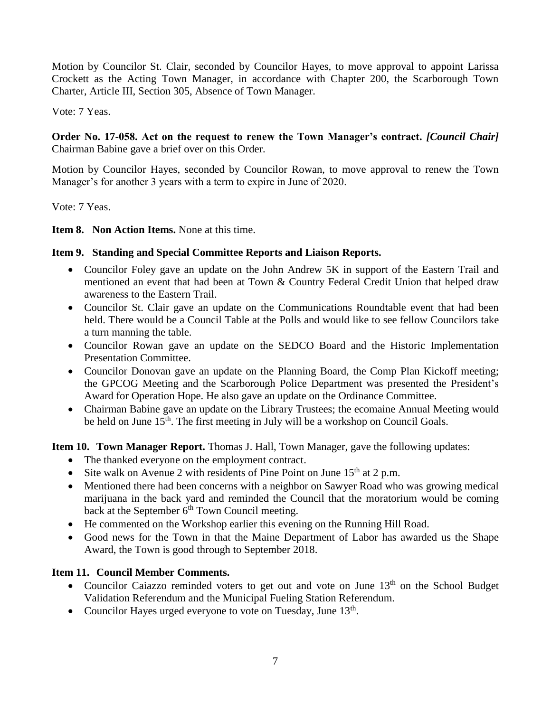Motion by Councilor St. Clair, seconded by Councilor Hayes, to move approval to appoint Larissa Crockett as the Acting Town Manager, in accordance with Chapter 200, the Scarborough Town Charter, Article III, Section 305, Absence of Town Manager.

Vote: 7 Yeas.

**Order No. 17-058. Act on the request to renew the Town Manager's contract.** *[Council Chair]* Chairman Babine gave a brief over on this Order.

Motion by Councilor Hayes, seconded by Councilor Rowan, to move approval to renew the Town Manager's for another 3 years with a term to expire in June of 2020.

Vote: 7 Yeas.

**Item 8. Non Action Items.** None at this time.

## **Item 9. Standing and Special Committee Reports and Liaison Reports.**

- Councilor Foley gave an update on the John Andrew 5K in support of the Eastern Trail and mentioned an event that had been at Town & Country Federal Credit Union that helped draw awareness to the Eastern Trail.
- Councilor St. Clair gave an update on the Communications Roundtable event that had been held. There would be a Council Table at the Polls and would like to see fellow Councilors take a turn manning the table.
- Councilor Rowan gave an update on the SEDCO Board and the Historic Implementation Presentation Committee.
- Councilor Donovan gave an update on the Planning Board, the Comp Plan Kickoff meeting; the GPCOG Meeting and the Scarborough Police Department was presented the President's Award for Operation Hope. He also gave an update on the Ordinance Committee.
- Chairman Babine gave an update on the Library Trustees; the ecomaine Annual Meeting would be held on June  $15<sup>th</sup>$ . The first meeting in July will be a workshop on Council Goals.

**Item 10. Town Manager Report.** Thomas J. Hall, Town Manager, gave the following updates:

- The thanked everyone on the employment contract.
- Site walk on Avenue 2 with residents of Pine Point on June  $15<sup>th</sup>$  at 2 p.m.
- Mentioned there had been concerns with a neighbor on Sawyer Road who was growing medical marijuana in the back yard and reminded the Council that the moratorium would be coming back at the September  $6<sup>th</sup>$  Town Council meeting.
- He commented on the Workshop earlier this evening on the Running Hill Road.
- Good news for the Town in that the Maine Department of Labor has awarded us the Shape Award, the Town is good through to September 2018.

## **Item 11. Council Member Comments.**

- Councilor Caiazzo reminded voters to get out and vote on June  $13<sup>th</sup>$  on the School Budget Validation Referendum and the Municipal Fueling Station Referendum.
- Councilor Hayes urged everyone to vote on Tuesday, June 13<sup>th</sup>.